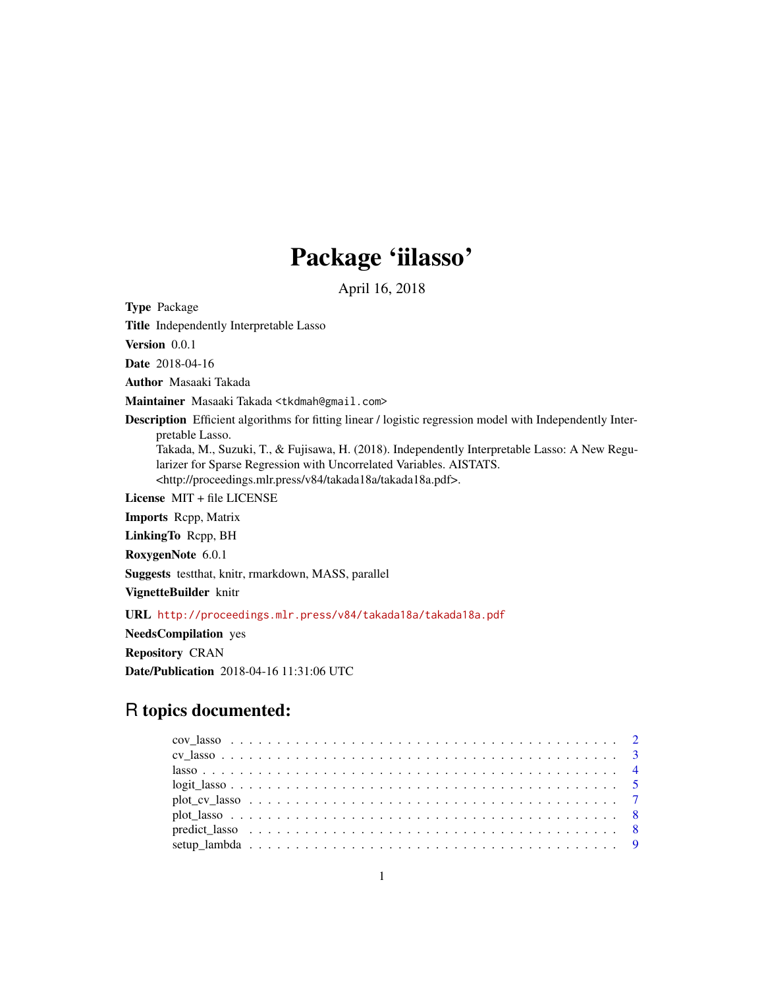## Package 'iilasso'

April 16, 2018

Type Package

Title Independently Interpretable Lasso

Version 0.0.1

Date 2018-04-16

Author Masaaki Takada

Maintainer Masaaki Takada <tkdmah@gmail.com>

Description Efficient algorithms for fitting linear / logistic regression model with Independently Interpretable Lasso.

Takada, M., Suzuki, T., & Fujisawa, H. (2018). Independently Interpretable Lasso: A New Regularizer for Sparse Regression with Uncorrelated Variables. AISTATS. <http://proceedings.mlr.press/v84/takada18a/takada18a.pdf>.

License MIT + file LICENSE

Imports Rcpp, Matrix

LinkingTo Rcpp, BH

RoxygenNote 6.0.1

Suggests testthat, knitr, rmarkdown, MASS, parallel

VignetteBuilder knitr

URL <http://proceedings.mlr.press/v84/takada18a/takada18a.pdf>

NeedsCompilation yes

Repository CRAN

Date/Publication 2018-04-16 11:31:06 UTC

### R topics documented: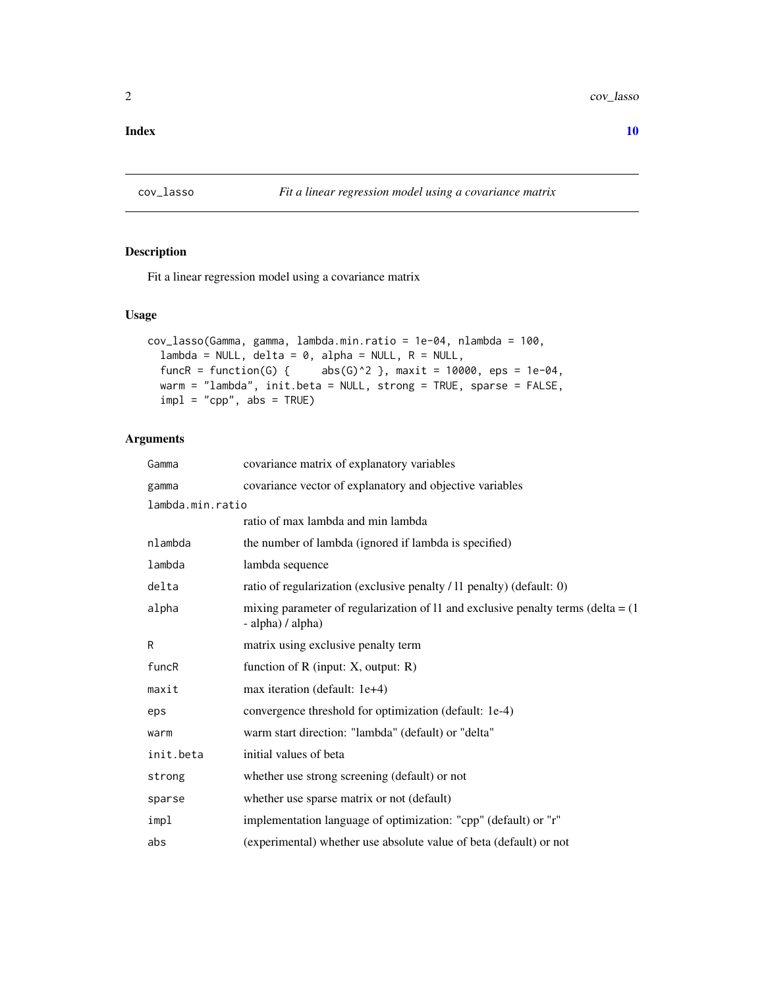#### <span id="page-1-0"></span> $\blacksquare$

cov\_lasso *Fit a linear regression model using a covariance matrix*

#### Description

Fit a linear regression model using a covariance matrix

#### Usage

```
cov_lasso(Gamma, gamma, lambda.min.ratio = 1e-04, nlambda = 100,
  lambda = NULL, delta = 0, alpha = NULL, R = NULL,
  funcR = function(G) { abs(G)^2 }, maxit = 10000, eps = 1e-04,
 warm = "lambda", init.beta = NULL, strong = TRUE, sparse = FALSE,
  impl = "cpp", abs = TRUE)
```
#### Arguments

| Gamma            | covariance matrix of explanatory variables                                                                |
|------------------|-----------------------------------------------------------------------------------------------------------|
| gamma            | covariance vector of explanatory and objective variables                                                  |
| lambda.min.ratio |                                                                                                           |
|                  | ratio of max lambda and min lambda                                                                        |
| nlambda          | the number of lambda (ignored if lambda is specified)                                                     |
| lambda           | lambda sequence                                                                                           |
| delta            | ratio of regularization (exclusive penalty / 11 penalty) (default: 0)                                     |
| alpha            | mixing parameter of regularization of 11 and exclusive penalty terms (delta $= (1$ )<br>- alpha) / alpha) |
| R                | matrix using exclusive penalty term                                                                       |
| funcR            | function of $R$ (input: $X$ , output: $R$ )                                                               |
| maxit            | max iteration (default: 1e+4)                                                                             |
| eps              | convergence threshold for optimization (default: 1e-4)                                                    |
| warm             | warm start direction: "lambda" (default) or "delta"                                                       |
| init.beta        | initial values of beta                                                                                    |
| strong           | whether use strong screening (default) or not                                                             |
| sparse           | whether use sparse matrix or not (default)                                                                |
| impl             | implementation language of optimization: "cpp" (default) or "r"                                           |
| abs              | (experimental) whether use absolute value of beta (default) or not                                        |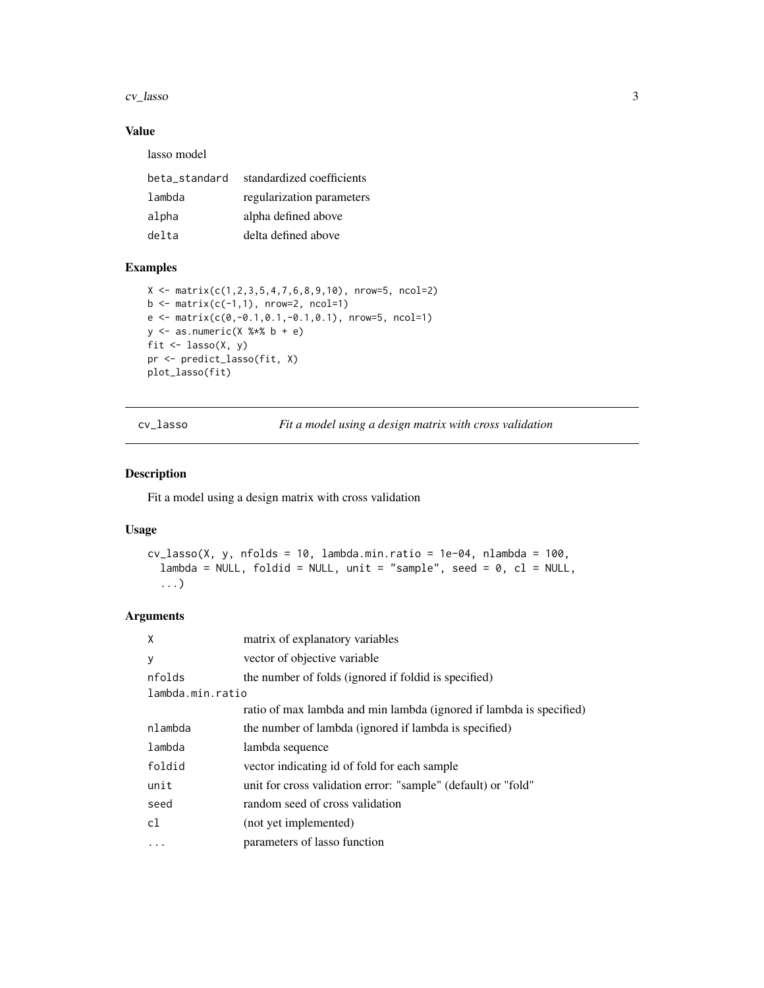#### <span id="page-2-0"></span>cv\_lasso 3

#### Value

lasso model

| beta standard | standardized coefficients |
|---------------|---------------------------|
| lambda        | regularization parameters |
| alpha         | alpha defined above       |
| delta         | delta defined above       |

#### Examples

```
X \leftarrow \text{matrix}(c(1, 2, 3, 5, 4, 7, 6, 8, 9, 10), \text{ nrow=5, ncol=2})b \leftarrow \text{matrix}(c(-1,1), \text{ nrow=2, ncol=1})e \le - matrix(c(0,-0.1,0.1,-0.1,0.1), nrow=5, ncol=1)
y \leftarrow as.numeric(X %*% b + e)
fit \leftarrow lasso(X, y)pr <- predict_lasso(fit, X)
plot_lasso(fit)
```
cv\_lasso *Fit a model using a design matrix with cross validation*

#### Description

Fit a model using a design matrix with cross validation

#### Usage

```
cv_lasso(X, y, nfollowed to 10, lambda.min.ratio = 1e-04, nlambda = 100,lambda = NULL, foldid = NULL, unit = "sample", seed = 0, cl = NULL,...)
```
#### Arguments

| X                | matrix of explanatory variables                                     |
|------------------|---------------------------------------------------------------------|
| У                | vector of objective variable                                        |
| nfolds           | the number of folds (ignored if foldid is specified)                |
| lambda.min.ratio |                                                                     |
|                  | ratio of max lambda and min lambda (ignored if lambda is specified) |
| nlambda          | the number of lambda (ignored if lambda is specified)               |
| lambda           | lambda sequence                                                     |
| foldid           | vector indicating id of fold for each sample                        |
| unit             | unit for cross validation error: "sample" (default) or "fold"       |
| seed             | random seed of cross validation                                     |
| cl               | (not yet implemented)                                               |
| .                | parameters of lasso function                                        |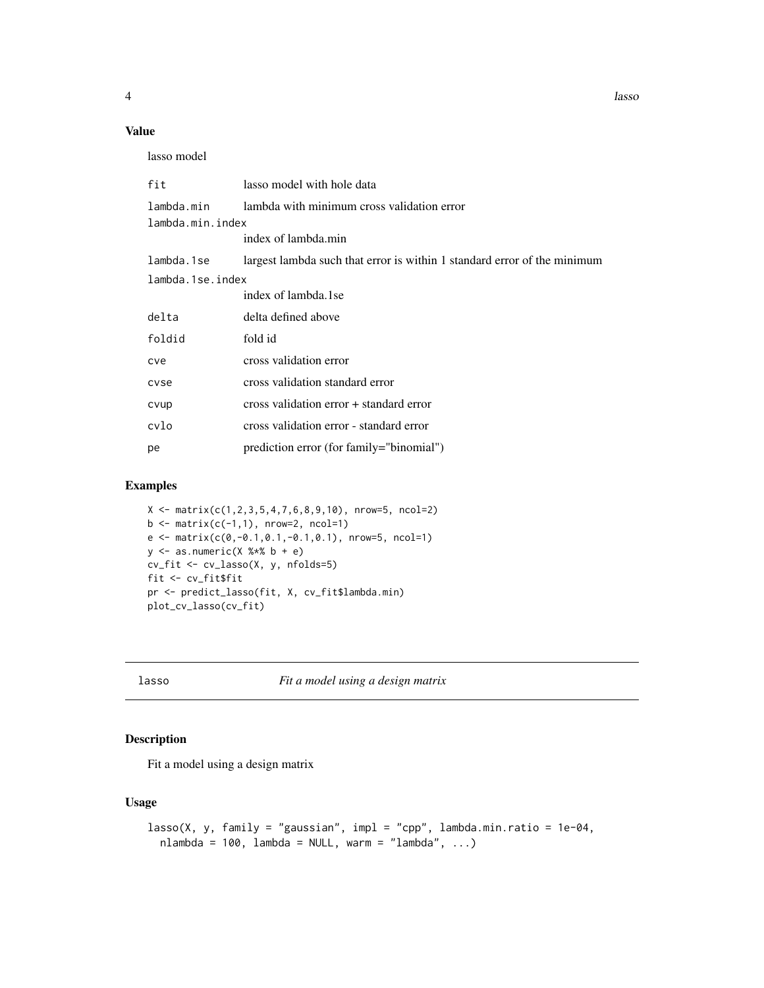#### <span id="page-3-0"></span>Value

lasso model

| fit              | lasso model with hole data                                               |
|------------------|--------------------------------------------------------------------------|
| lambda.min       | lambda with minimum cross validation error                               |
| lambda.min.index |                                                                          |
|                  | index of lambda.min                                                      |
| lambda.1se       | largest lambda such that error is within 1 standard error of the minimum |
| lambda.1se.index |                                                                          |
|                  | index of lambda.1se                                                      |
| delta            | delta defined above                                                      |
| foldid           | fold id                                                                  |
| cve              | cross validation error                                                   |
| cyse             | cross validation standard error                                          |
| cvup             | cross validation error + standard error                                  |
| cvlo             | cross validation error - standard error                                  |
| pe               | prediction error (for family="binomial")                                 |

#### Examples

```
X \leftarrow \text{matrix}(c(1, 2, 3, 5, 4, 7, 6, 8, 9, 10), \text{now=}5, \text{nool=}2)b \leftarrow \text{matrix}(c(-1,1), \text{ nrow=2}, \text{ ncol=1})e \le matrix(c(0,-0.1,0.1,-0.1,0.1), nrow=5, ncol=1)
y \leftarrow as.numeric(X %*% b + e)cv_fit <- cv_lasso(X, y, nfolds=5)
fit <- cv_fit$fit
pr <- predict_lasso(fit, X, cv_fit$lambda.min)
plot_cv_lasso(cv_fit)
```
lasso *Fit a model using a design matrix*

#### Description

Fit a model using a design matrix

#### Usage

```
lasso(X, y, family = "gaussian", impl = "cpp", lambda.min.ratio = 1e-04,
 nlambda = 100, lambda = NULL, warm = "lambda", ...)
```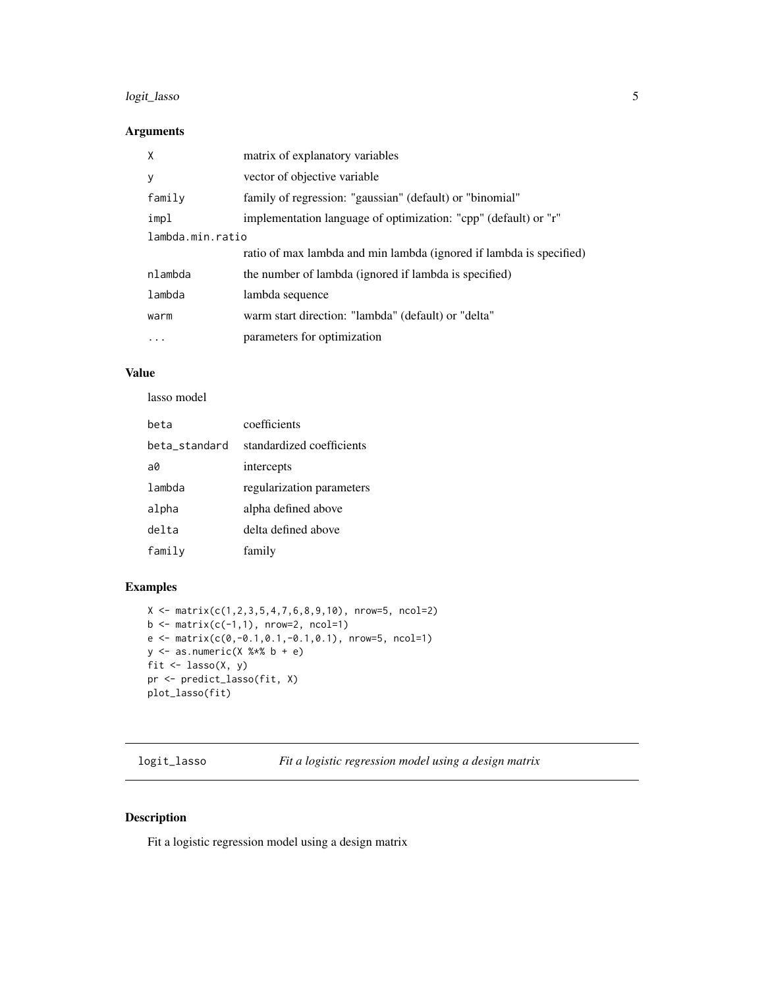#### <span id="page-4-0"></span>logit\_lasso 5

#### Arguments

| X                | matrix of explanatory variables                                     |  |  |  |  |
|------------------|---------------------------------------------------------------------|--|--|--|--|
| У                | vector of objective variable                                        |  |  |  |  |
| family           | family of regression: "gaussian" (default) or "binomial"            |  |  |  |  |
| impl             | implementation language of optimization: "cpp" (default) or "r"     |  |  |  |  |
| lambda.min.ratio |                                                                     |  |  |  |  |
|                  | ratio of max lambda and min lambda (ignored if lambda is specified) |  |  |  |  |
| nlambda          | the number of lambda (ignored if lambda is specified)               |  |  |  |  |
| lambda           | lambda sequence                                                     |  |  |  |  |
| warm             | warm start direction: "lambda" (default) or "delta"                 |  |  |  |  |
| .                | parameters for optimization                                         |  |  |  |  |

#### Value

lasso model

| beta          | coefficients              |
|---------------|---------------------------|
| beta_standard | standardized coefficients |
| a0            | intercepts                |
| lambda        | regularization parameters |
| alpha         | alpha defined above       |
| delta         | delta defined above       |
| family        | family                    |

#### Examples

```
X \leftarrow \text{matrix}(c(1, 2, 3, 5, 4, 7, 6, 8, 9, 10), \text{ nrow=5, ncol=2})b \leftarrow \text{matrix}(c(-1,1), \text{ nrow=2}, \text{ ncol=1})e \le - matrix(c(0,-0.1,0.1,-0.1,0.1), nrow=5, ncol=1)
y \leftarrow as.numeric(X %*% b + e)fit \leftarrow lasso(X, y)pr <- predict_lasso(fit, X)
plot_lasso(fit)
```
logit\_lasso *Fit a logistic regression model using a design matrix*

#### Description

Fit a logistic regression model using a design matrix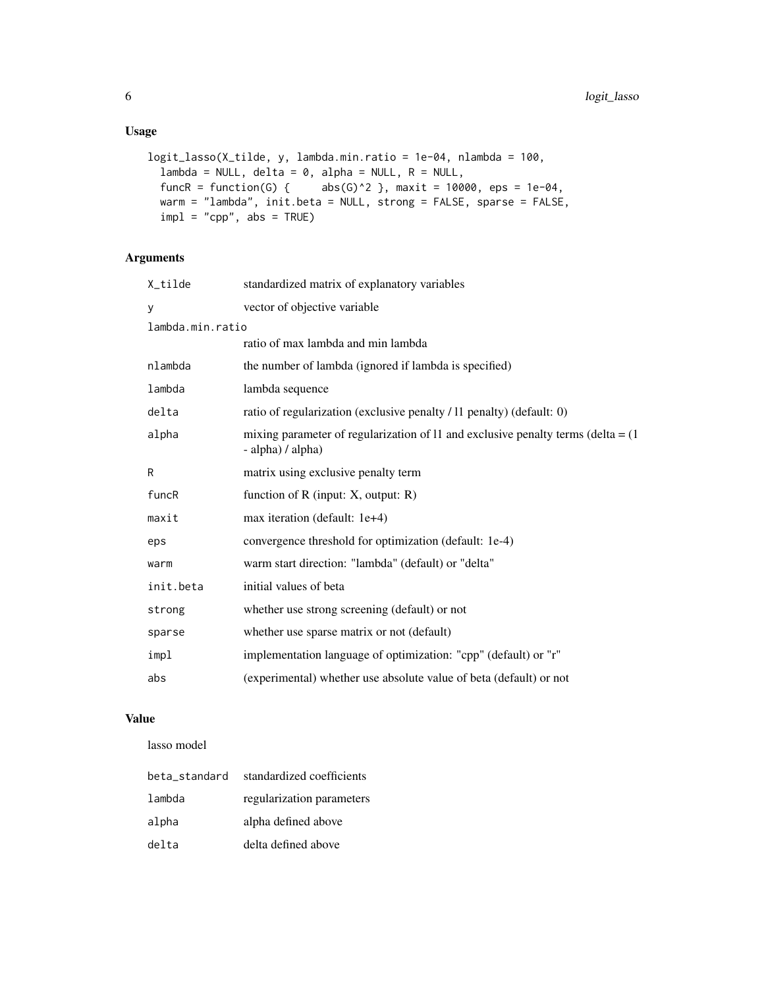#### Usage

```
logit_lasso(X_tilde, y, lambda.min.ratio = 1e-04, nlambda = 100,
  lambda = NULL, delta = 0, alpha = NULL, R = NULL,
  funcR = function(G) { abs(G)^2 }, maxit = 10000, eps = 1e-04,
 warm = "lambda", init.beta = NULL, strong = FALSE, sparse = FALSE,
 impl = "cpp", abs = TRUE)
```
#### Arguments

| X_tilde          | standardized matrix of explanatory variables                                                              |
|------------------|-----------------------------------------------------------------------------------------------------------|
| у                | vector of objective variable                                                                              |
| lambda.min.ratio |                                                                                                           |
|                  | ratio of max lambda and min lambda                                                                        |
| nlambda          | the number of lambda (ignored if lambda is specified)                                                     |
| lambda           | lambda sequence                                                                                           |
| delta            | ratio of regularization (exclusive penalty / 11 penalty) (default: 0)                                     |
| alpha            | mixing parameter of regularization of 11 and exclusive penalty terms (delta $= (1$ )<br>- alpha) / alpha) |
| R                | matrix using exclusive penalty term                                                                       |
| funcR            | function of $R$ (input: $X$ , output: $R$ )                                                               |
| maxit            | max iteration (default: 1e+4)                                                                             |
| eps              | convergence threshold for optimization (default: 1e-4)                                                    |
| warm             | warm start direction: "lambda" (default) or "delta"                                                       |
| init.beta        | initial values of beta                                                                                    |
| strong           | whether use strong screening (default) or not                                                             |
| sparse           | whether use sparse matrix or not (default)                                                                |
| impl             | implementation language of optimization: "cpp" (default) or "r"                                           |
| abs              | (experimental) whether use absolute value of beta (default) or not                                        |

#### Value

lasso model

| beta standard | standardized coefficients |
|---------------|---------------------------|
| lambda        | regularization parameters |
| alpha         | alpha defined above       |
| delta         | delta defined above       |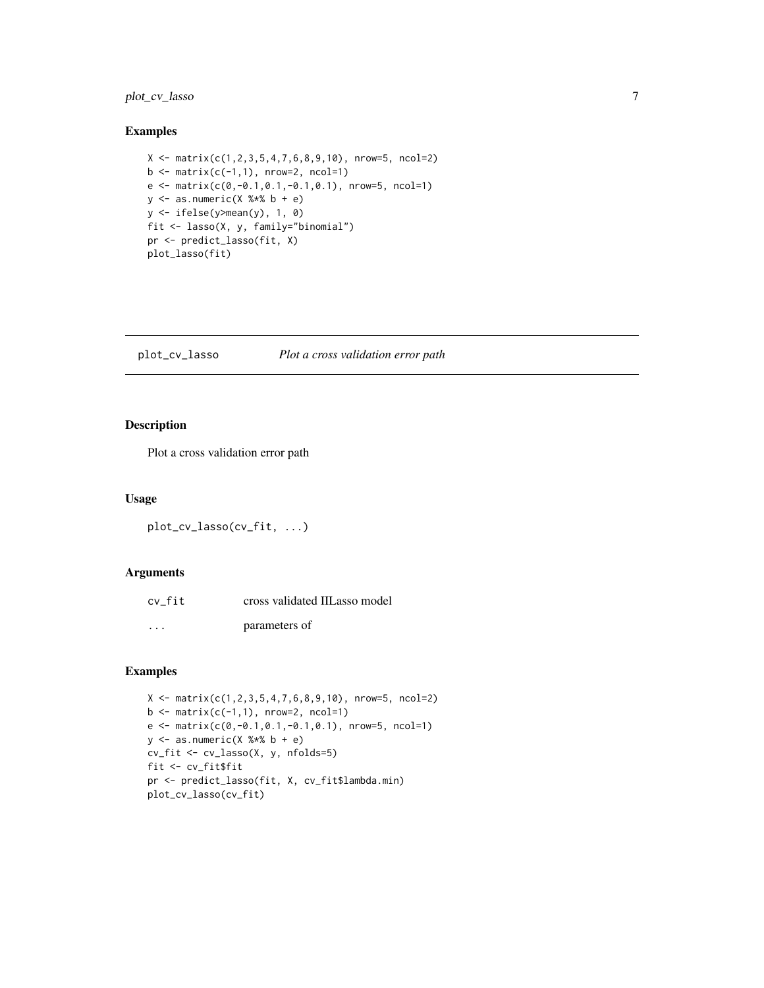#### <span id="page-6-0"></span>plot\_cv\_lasso 7

#### Examples

```
X \leftarrow \text{matrix}(c(1, 2, 3, 5, 4, 7, 6, 8, 9, 10), \text{ nrow=5, ncol=2})b \le matrix(c(-1,1), nrow=2, ncol=1)
e \le matrix(c(0,-0.1,0.1,-0.1,0.1), nrow=5, ncol=1)
y \leftarrow as.numeric(X %*% b + e)y <- ifelse(y>mean(y), 1, 0)
fit <- lasso(X, y, family="binomial")
pr <- predict_lasso(fit, X)
plot_lasso(fit)
```
plot\_cv\_lasso *Plot a cross validation error path*

#### Description

Plot a cross validation error path

#### Usage

```
plot_cv_lasso(cv_fit, ...)
```
#### Arguments

| cv fit   | cross validated IILasso model |
|----------|-------------------------------|
| $\cdots$ | parameters of                 |

#### Examples

```
X \leftarrow \text{matrix}(c(1, 2, 3, 5, 4, 7, 6, 8, 9, 10), \text{ nrow=5, ncol=2})b \le matrix(c(-1,1), nrow=2, ncol=1)
e \le - matrix(c(0,-0.1,0.1,-0.1,0.1), nrow=5, ncol=1)
y \leftarrow as.numeric(X %*% b + e)cv_fit <- cv_lasso(X, y, nfolds=5)
fit <- cv_fit$fit
pr <- predict_lasso(fit, X, cv_fit$lambda.min)
plot_cv_lasso(cv_fit)
```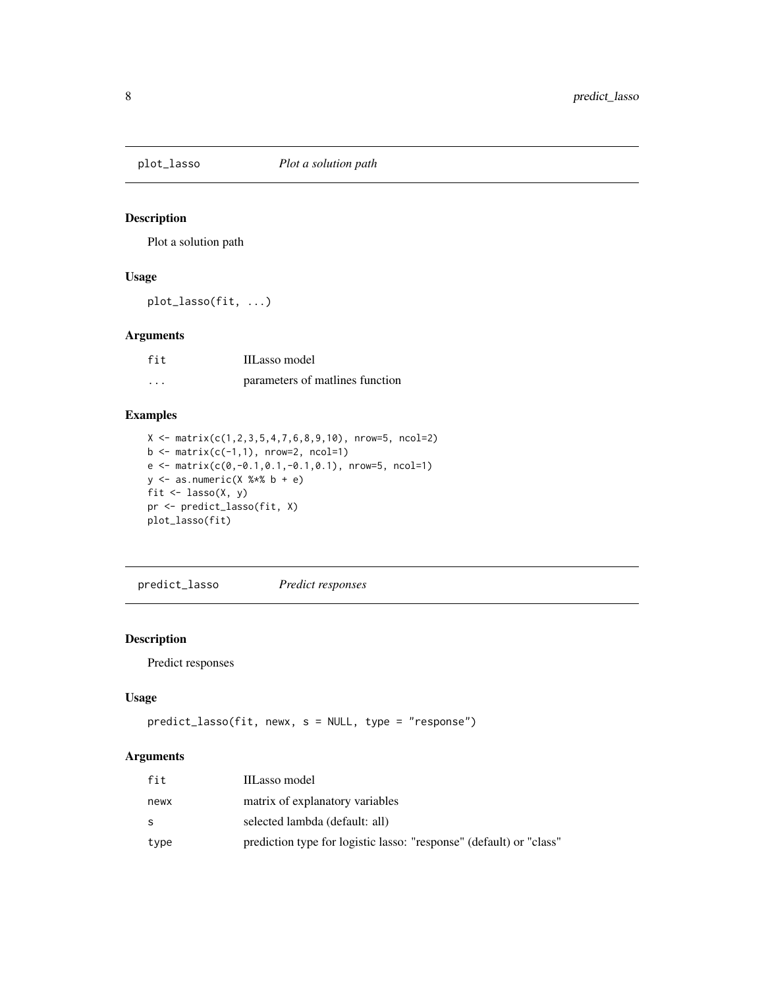<span id="page-7-0"></span>

#### Description

Plot a solution path

#### Usage

plot\_lasso(fit, ...)

#### Arguments

| fit | IILasso model                   |
|-----|---------------------------------|
| .   | parameters of matlines function |

#### Examples

```
X \leftarrow \text{matrix}(c(1, 2, 3, 5, 4, 7, 6, 8, 9, 10), \text{ nrow=5, ncol=2})b \leftarrow \text{matrix}(c(-1,1), \text{ nrow=2, ncol=1})e <- matrix(c(0,-0.1,0.1,-0.1,0.1), nrow=5, ncol=1)
y \leftarrow as.numeric(X %*% b + e)fit \leftarrow lasso(X, y)pr <- predict_lasso(fit, X)
plot_lasso(fit)
```
predict\_lasso *Predict responses*

#### Description

Predict responses

#### Usage

```
predict_lasso(fit, newx, s = NULL, type = "response")
```
#### Arguments

| fit  | IILasso model                                                       |
|------|---------------------------------------------------------------------|
| newx | matrix of explanatory variables                                     |
| S    | selected lambda (default: all)                                      |
| type | prediction type for logistic lasso: "response" (default) or "class" |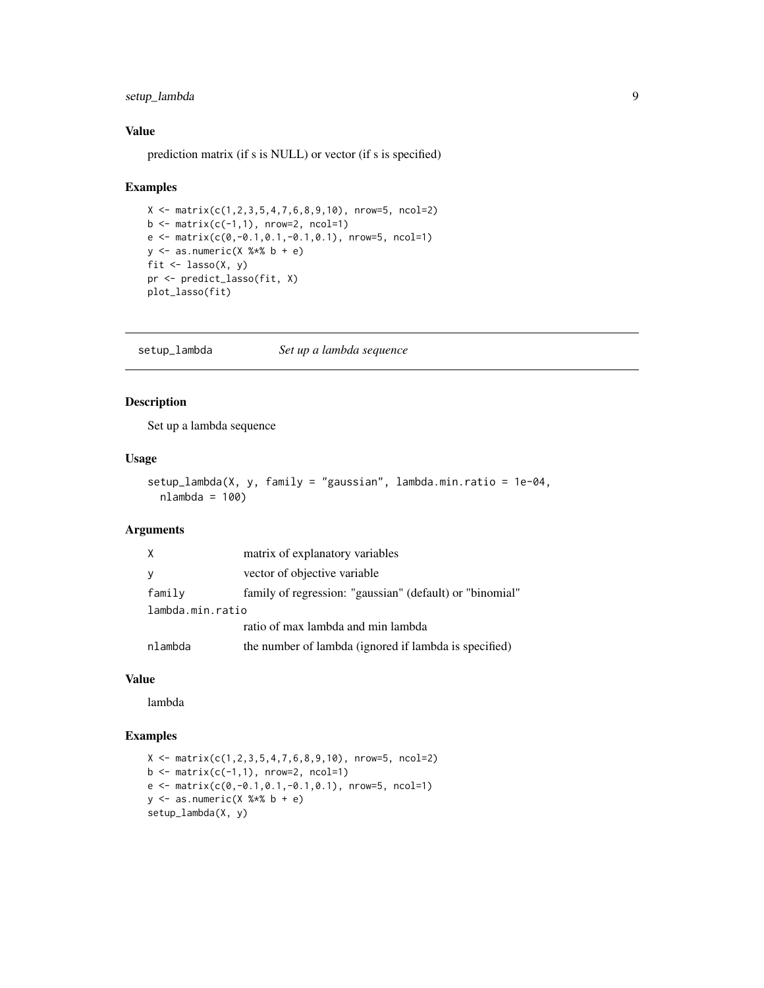#### <span id="page-8-0"></span>setup\_lambda 9

#### Value

prediction matrix (if s is NULL) or vector (if s is specified)

#### Examples

```
X \leftarrow \text{matrix}(c(1, 2, 3, 5, 4, 7, 6, 8, 9, 10), \text{ nrow=5, ncol=2})b \le matrix(c(-1,1), nrow=2, ncol=1)
e \leftarrow \text{matrix}(c(0, -0.1, 0.1, -0.1, 0.1), \text{ nrow=5, ncol=1})y \leftarrow as.numeric(X %*% b + e)fit \leftarrow lasso(X, y)pr <- predict_lasso(fit, X)
plot_lasso(fit)
```
setup\_lambda *Set up a lambda sequence*

#### Description

Set up a lambda sequence

#### Usage

```
setup_lambda(X, y, family = "gaussian", lambda.min.ratio = 1e-04,
 nlambda = 100)
```
#### Arguments

| X                | matrix of explanatory variables                          |
|------------------|----------------------------------------------------------|
|                  | vector of objective variable                             |
| family           | family of regression: "gaussian" (default) or "binomial" |
| lambda.min.ratio |                                                          |
|                  | ratio of max lambda and min lambda                       |
| nlambda          | the number of lambda (ignored if lambda is specified)    |

#### Value

lambda

#### Examples

```
X \leftarrow \text{matrix}(c(1, 2, 3, 5, 4, 7, 6, 8, 9, 10), \text{ nrow=5, ncol=2})b \le matrix(c(-1,1), nrow=2, ncol=1)
e \le - matrix(c(0, -0.1, 0.1, -0.1, 0.1), nrow=5, ncol=1)
y \leftarrow as.numeric(X %*% b + e)
setup_lambda(X, y)
```